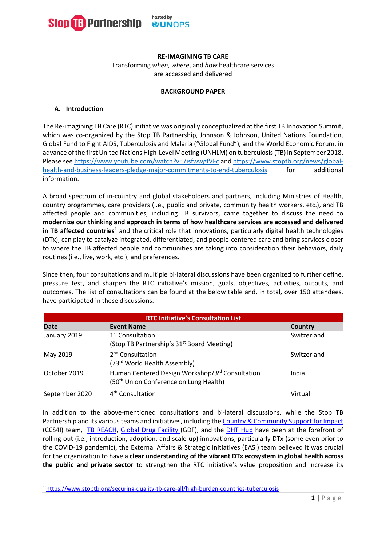

# **RE-IMAGINING TB CARE**

Transforming *when*, *where*, and *how* healthcare services are accessed and delivered

### **BACKGROUND PAPER**

# **A. Introduction**

The Re-imagining TB Care (RTC) initiative was originally conceptualized at the first TB Innovation Summit, which was co-organized by the Stop TB Partnership, Johnson & Johnson, United Nations Foundation, Global Fund to Fight AIDS, Tuberculosis and Malaria ("Global Fund"), and the World Economic Forum, in advance of the first United Nations High-Level Meeting (UNHLM) on tuberculosis (TB) in September 2018. Please see <https://www.youtube.com/watch?v=7isfwwgfVFc> an[d https://www.stoptb.org/news/global](https://www.stoptb.org/news/global-health-and-business-leaders-pledge-major-commitments-to-end-tuberculosis)[health-and-business-leaders-pledge-major-commitments-to-end-tuberculosis](https://www.stoptb.org/news/global-health-and-business-leaders-pledge-major-commitments-to-end-tuberculosis) for additional information.

A broad spectrum of in-country and global stakeholders and partners, including Ministries of Health, country programmes, care providers (i.e., public and private, community health workers, etc.), and TB affected people and communities, including TB survivors, came together to discuss the need to **modernize our thinking and approach in terms of how healthcare services are accessed and delivered in TB affected countries[1](#page-0-0)** and the critical role that innovations, particularly digital health technologies (DTx), can play to catalyze integrated, differentiated, and people-centered care and bring services closer to where the TB affected people and communities are taking into consideration their behaviors, daily routines (i.e., live, work, etc.), and preferences.

Since then, four consultations and multiple bi-lateral discussions have been organized to further define, pressure test, and sharpen the RTC initiative's mission, goals, objectives, activities, outputs, and outcomes. The list of consultations can be found at the below table and, in total, over 150 attendees, have participated in these discussions.

| <b>RTC Initiative's Consultation List</b> |                                                                                                       |             |
|-------------------------------------------|-------------------------------------------------------------------------------------------------------|-------------|
| <b>Date</b>                               | <b>Event Name</b>                                                                                     | Country     |
| January 2019                              | 1 <sup>st</sup> Consultation<br>(Stop TB Partnership's 31 <sup>st</sup> Board Meeting)                | Switzerland |
| May 2019                                  | 2 <sup>nd</sup> Consultation<br>(73rd World Health Assembly)                                          | Switzerland |
| October 2019                              | Human Centered Design Workshop/3rd Consultation<br>(50 <sup>th</sup> Union Conference on Lung Health) | India       |
| September 2020                            | 4 <sup>th</sup> Consultation                                                                          | Virtual     |

In addition to the above-mentioned consultations and bi-lateral discussions, while the Stop TB Partnership and its various teams and initiatives, including the Country & Community Support for Impact (CCS4I) team, [TB REACH,](https://www.stoptb.org/what-we-do/tb-reach) [Global Drug Facility \(](http://www.stoptb.org/gdf/)GDF), and the [DHT Hub](https://www.stoptb.org/accelerate-tb-innovations/digital-health-technology-hub) have been at the forefront of rolling-out (i.e., introduction, adoption, and scale-up) innovations, particularly DTx (some even prior to the COVID-19 pandemic), the External Affairs & Strategic Initiatives (EASI) team believed it was crucial for the organization to have a **clear understanding of the vibrant DTx ecosystem in global health across the public and private sector** to strengthen the RTC initiative's value proposition and increase its

<span id="page-0-0"></span><sup>1</sup> <https://www.stoptb.org/securing-quality-tb-care-all/high-burden-countries-tuberculosis>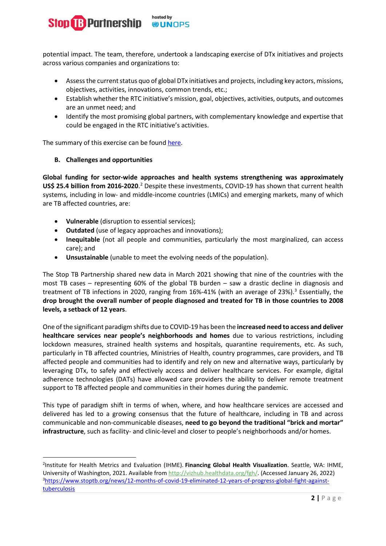

potential impact. The team, therefore, undertook a landscaping exercise of DTx initiatives and projects across various companies and organizations to:

- Assess the current status quo of global DTx initiatives and projects, including key actors, missions, objectives, activities, innovations, common trends, etc.;
- Establish whether the RTC initiative's mission, goal, objectives, activities, outputs, and outcomes are an unmet need; and
- Identify the most promising global partners, with complementary knowledge and expertise that could be engaged in the RTC initiative's activities.

The summary of this exercise can be found [here.](https://www.stoptb.org/assets/documents/about/cb/meetings/34/34-06%20Accelerating%20New%20TB%20Tools%20and%20Approaches/34-6.13_Annex%20A%20-%20Landscaping%20of%20Digital%20Health%20Tech%20Initiatives.pdf)

# **B. Challenges and opportunities**

**Global funding for sector-wide approaches and health systems strengthening was approximately US\$ [2](#page-1-0)5.4 billion from 2016-2020**.<sup>2</sup> Despite these investments, COVID-19 has shown that current health systems, including in low- and middle-income countries (LMICs) and emerging markets, many of which are TB affected countries, are:

- **Vulnerable** (disruption to essential services);
- **Outdated** (use of legacy approaches and innovations);
- **Inequitable** (not all people and communities, particularly the most marginalized, can access care); and
- **Unsustainable** (unable to meet the evolving needs of the population).

The Stop TB Partnership shared new data in March 2021 showing that nine of the countries with the most TB cases – representing 60% of the global TB burden – saw a drastic decline in diagnosis and treatment of TB infections in 2020, ranging from 16%-41% (with an average of 2[3](#page-1-1)%).<sup>3</sup> Essentially, the **drop brought the overall number of people diagnosed and treated for TB in those countries to 2008 levels, a setback of 12 years**.

One of the significant paradigm shifts due to COVID-19 has been the **increased need to access and deliver healthcare services near people's neighborhoods and homes** due to various restrictions, including lockdown measures, strained health systems and hospitals, quarantine requirements, etc. As such, particularly in TB affected countries, Ministries of Health, country programmes, care providers, and TB affected people and communities had to identify and rely on new and alternative ways, particularly by leveraging DTx, to safely and effectively access and deliver healthcare services. For example, digital adherence technologies (DATs) have allowed care providers the ability to deliver remote treatment support to TB affected people and communities in their homes during the pandemic.

This type of paradigm shift in terms of when, where, and how healthcare services are accessed and delivered has led to a growing consensus that the future of healthcare, including in TB and across communicable and non-communicable diseases, **need to go beyond the traditional "brick and mortar" infrastructure**, such as facility- and clinic-level and closer to people's neighborhoods and/or homes.

<span id="page-1-1"></span><span id="page-1-0"></span><sup>2</sup> Institute for Health Metrics and Evaluation (IHME). **Financing Global Health Visualization**. Seattle, WA: IHME, University of Washington, 2021. Available from [http://vizhub.healthdata.org/fgh/.](http://vizhub.healthdata.org/fgh/%E2%80%8B) (Accessed January 26, 2022) 3 [https://www.stoptb.org/news/12-months-of-covid-19-eliminated-12-years-of-progress-global-fight-against](https://www.stoptb.org/news/12-months-of-covid-19-eliminated-12-years-of-progress-global-fight-against-tuberculosis)[tuberculosis](https://www.stoptb.org/news/12-months-of-covid-19-eliminated-12-years-of-progress-global-fight-against-tuberculosis)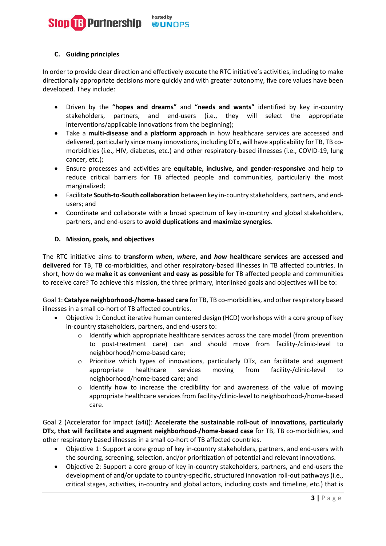### hosted by **B** Partnership **®UNOPS**

# **C. Guiding principles**

In order to provide clear direction and effectively execute the RTC initiative's activities, including to make directionally appropriate decisions more quickly and with greater autonomy, five core values have been developed. They include:

- Driven by the **"hopes and dreams"** and **"needs and wants"** identified by key in-country stakeholders, partners, and end-users (i.e., they will select the appropriate interventions/applicable innovations from the beginning);
- Take a **multi-disease and a platform approach** in how healthcare services are accessed and delivered, particularly since many innovations, including DTx, will have applicability for TB, TB comorbidities (i.e., HIV, diabetes, etc.) and other respiratory-based illnesses (i.e., COVID-19, lung cancer, etc.);
- Ensure processes and activities are **equitable, inclusive, and gender-responsive** and help to reduce critical barriers for TB affected people and communities, particularly the most marginalized;
- Facilitate **South-to-South collaboration** between key in-country stakeholders, partners, and endusers; and
- Coordinate and collaborate with a broad spectrum of key in-country and global stakeholders, partners, and end-users to **avoid duplications and maximize synergies**.

# **D. Mission, goals, and objectives**

The RTC initiative aims to **transform** *when***,** *where***, and** *how* **healthcare services are accessed and delivered** for TB, TB co-morbidities, and other respiratory-based illnesses in TB affected countries. In short, how do we **make it as convenient and easy as possible** for TB affected people and communities to receive care? To achieve this mission, the three primary, interlinked goals and objectives will be to:

Goal 1: **Catalyze neighborhood-/home-based care** for TB, TB co-morbidities, and other respiratory based illnesses in a small co-hort of TB affected countries.

- Objective 1: Conduct iterative human centered design (HCD) workshops with a core group of key in-country stakeholders, partners, and end-users to:
	- $\circ$  Identify which appropriate healthcare services across the care model (from prevention to post-treatment care) can and should move from facility-/clinic-level to neighborhood/home-based care;
	- o Prioritize which types of innovations, particularly DTx, can facilitate and augment appropriate healthcare services moving from facility-/clinic-level neighborhood/home-based care; and
	- $\circ$  Identify how to increase the credibility for and awareness of the value of moving appropriate healthcare services from facility-/clinic-level to neighborhood-/home-based care.

Goal 2 (Accelerator for Impact (a4i)): **Accelerate the sustainable roll-out of innovations, particularly DTx, that will facilitate and augment neighborhood-/home-based case** for TB, TB co-morbidities, and other respiratory based illnesses in a small co-hort of TB affected countries.

- Objective 1: Support a core group of key in-country stakeholders, partners, and end-users with the sourcing, screening, selection, and/or prioritization of potential and relevant innovations.
- Objective 2: Support a core group of key in-country stakeholders, partners, and end-users the development of and/or update to country-specific, structured innovation roll-out pathways (i.e., critical stages, activities, in-country and global actors, including costs and timeline, etc.) that is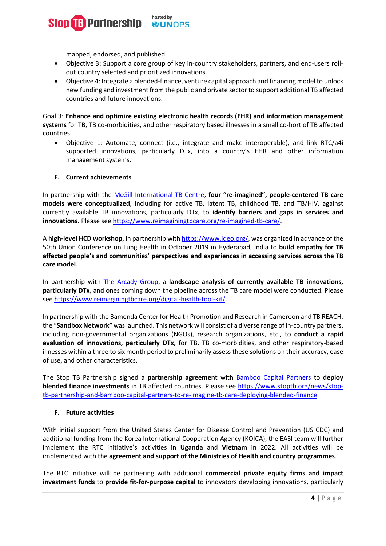#### hosted by **B** Partnership **®UNOPS**

mapped, endorsed, and published.

- Objective 3: Support a core group of key in-country stakeholders, partners, and end-users rollout country selected and prioritized innovations.
- Objective 4: Integrate a blended-finance, venture capital approach and financing model to unlock new funding and investment from the public and private sector to support additional TB affected countries and future innovations.

Goal 3: **Enhance and optimize existing electronic health records (EHR) and information management systems** for TB, TB co-morbidities, and other respiratory based illnesses in a small co-hort of TB affected countries.

• Objective 1: Automate, connect (i.e., integrate and make interoperable), and link RTC/a4i supported innovations, particularly DTx, into a country's EHR and other information management systems.

# **E. Current achievements**

In partnership with the [McGill International TB Centre,](https://www.mcgill.ca/tb/) **four "re-imagined", people-centered TB care models were conceptualized**, including for active TB, latent TB, childhood TB, and TB/HIV, against currently available TB innovations, particularly DTx, to **identify barriers and gaps in services and innovations.** Please see [https://www.reimaginingtbcare.org/re-imagined-tb-care/.](https://www.reimaginingtbcare.org/re-imagined-tb-care/)

A **high-level HCD workshop**, in partnership wit[h https://www.ideo.org/,](https://www.ideo.org/) was organized in advance of the 50th Union Conference on Lung Health in October 2019 in Hyderabad, India to **build empathy for TB affected people's and communities' perspectives and experiences in accessing services across the TB care model**.

In partnership with [The Arcady Group,](https://www.thearcadygroup.com/) a **landscape analysis of currently available TB innovations, particularly DTx**, and ones coming down the pipeline across the TB care model were conducted. Please se[e https://www.reimaginingtbcare.org/digital-health-tool-kit/.](https://www.reimaginingtbcare.org/digital-health-tool-kit/)

In partnership with the Bamenda Center for Health Promotion and Research in Cameroon and TB REACH, the "**Sandbox Network"** was launched. This network will consist of a diverse range of in-country partners, including non-governmental organizations (NGOs), research organizations, etc., to **conduct a rapid evaluation of innovations, particularly DTx,** for TB, TB co-morbidities, and other respiratory-based illnesses within a three to six month period to preliminarily assess these solutions on their accuracy, ease of use, and other characteristics.

The Stop TB Partnership signed a **partnership agreement** with [Bamboo Capital Partners](https://bamboocp.com/) to **deploy blended finance investments** in TB affected countries. Please see [https://www.stoptb.org/news/stop](https://www.stoptb.org/news/stop-tb-partnership-and-bamboo-capital-partners-to-re-imagine-tb-care-deploying-blended-finance)[tb-partnership-and-bamboo-capital-partners-to-re-imagine-tb-care-deploying-blended-finance.](https://www.stoptb.org/news/stop-tb-partnership-and-bamboo-capital-partners-to-re-imagine-tb-care-deploying-blended-finance)

# **F. Future activities**

With initial support from the United States Center for Disease Control and Prevention (US CDC) and additional funding from the Korea International Cooperation Agency (KOICA), the EASI team will further implement the RTC initiative's activities in **Uganda** and **Vietnam** in 2022. All activities will be implemented with the **agreement and support of the Ministries of Health and country programmes**.

The RTC initiative will be partnering with additional **commercial private equity firms and impact investment funds** to **provide fit-for-purpose capital** to innovators developing innovations, particularly